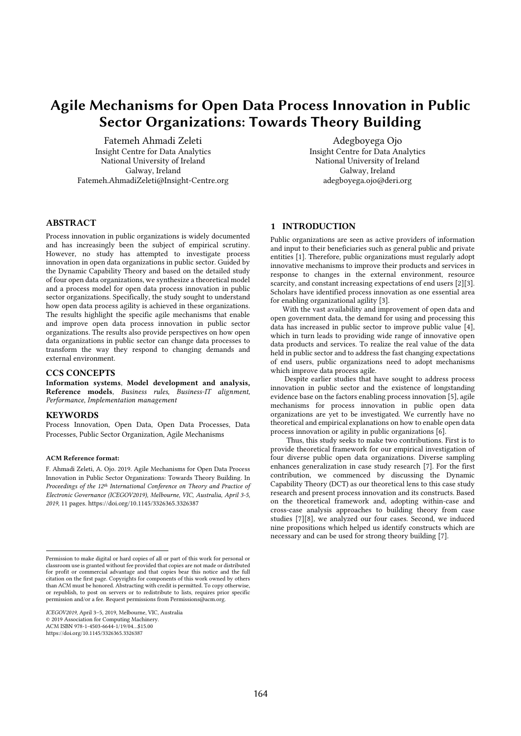# Agile Mechanisms for Open Data Process Innovation in Public Sector Organizations: Towards Theory Building

Fatemeh Ahmadi Zeleti Insight Centre for Data Analytics National University of Ireland Galway, Ireland Fatemeh.AhmadiZeleti@Insight-Centre.org

Adegboyega Ojo Insight Centre for Data Analytics National University of Ireland Galway, Ireland adegboyega.ojo@deri.org

# **ABSTRACT**

Process innovation in public organizations is widely documented and has increasingly been the subject of empirical scrutiny. However, no study has attempted to investigate process innovation in open data organizations in public sector. Guided by the Dynamic Capability Theory and based on the detailed study of four open data organizations, we synthesize a theoretical model and a process model for open data process innovation in public sector organizations. Specifically, the study sought to understand how open data process agility is achieved in these organizations. The results highlight the specific agile mechanisms that enable and improve open data process innovation in public sector organizations. The results also provide perspectives on how open data organizations in public sector can change data processes to transform the way they respond to changing demands and external environment.

#### CCS CONCEPTS

Information systems, Model development and analysis, Reference models, *Business rules*, *Business-IT alignment*, *Performance*, *Implementation management*

## **KEYWORDS**

-

Process Innovation, Open Data, Open Data Processes, Data Processes, Public Sector Organization, Agile Mechanisms

#### ACM Reference format:

F. Ahmadi Zeleti, A. Ojo. 2019. Agile Mechanisms for Open Data Process Innovation in Public Sector Organizations: Towards Theory Building. In *Proceedings of the 12th International Conference on Theory and Practice of Electronic Governance (ICEGOV2019), Melbourne, VIC, Australia, April 3-5, 2019*, 11 pages. https://doi.org/10.1145/3326365.3326387

# 1 INTRODUCTION

Public organizations are seen as active providers of information and input to their beneficiaries such as general public and private entities [1]. Therefore, public organizations must regularly adopt innovative mechanisms to improve their products and services in response to changes in the external environment, resource scarcity, and constant increasing expectations of end users [2][3]. Scholars have identified process innovation as one essential area for enabling organizational agility [3].

With the vast availability and improvement of open data and open government data, the demand for using and processing this data has increased in public sector to improve public value [4], which in turn leads to providing wide range of innovative open data products and services. To realize the real value of the data held in public sector and to address the fast changing expectations of end users, public organizations need to adopt mechanisms which improve data process agile.

 Despite earlier studies that have sought to address process innovation in public sector and the existence of longstanding evidence base on the factors enabling process innovation [5], agile mechanisms for process innovation in public open data organizations are yet to be investigated. We currently have no theoretical and empirical explanations on how to enable open data process innovation or agility in public organizations [6].

 Thus, this study seeks to make two contributions. First is to provide theoretical framework for our empirical investigation of four diverse public open data organizations. Diverse sampling enhances generalization in case study research [7]. For the first contribution, we commenced by discussing the Dynamic Capability Theory (DCT) as our theoretical lens to this case study research and present process innovation and its constructs. Based on the theoretical framework and, adopting within-case and cross-case analysis approaches to building theory from case studies [7][8], we analyzed our four cases. Second, we induced nine propositions which helped us identify constructs which are necessary and can be used for strong theory building [7].

Permission to make digital or hard copies of all or part of this work for personal or classroom use is granted without fee provided that copies are not made or distributed for profit or commercial advantage and that copies bear this notice and the full citation on the first page. Copyrights for components of this work owned by others than ACM must be honored. Abstracting with credit is permitted. To copy otherwise, or republish, to post on servers or to redistribute to lists, requires prior specific permission and/or a fee. Request permissions from Permissions@acm.org.

*ICEGOV2019*, April 3–5, 2019, Melbourne, VIC, Australia © 2019 Association for Computing Machinery. ACM ISBN 978-1-4503-6644-1/19/04…\$15.00 https://doi.org/10.1145/3326365.3326387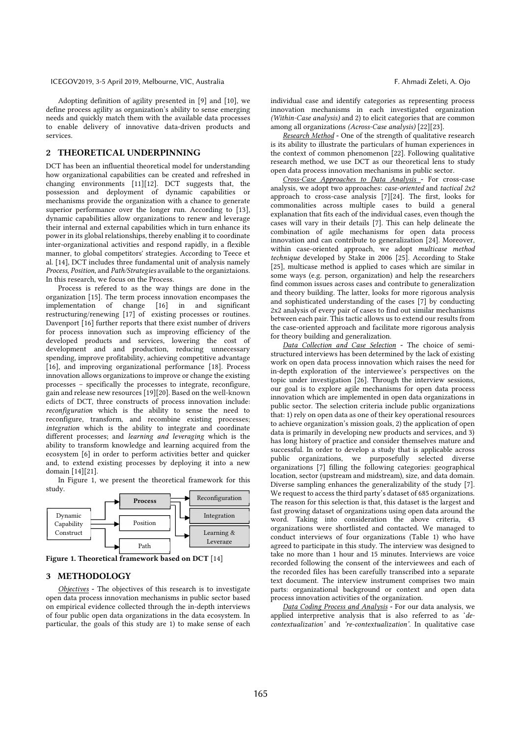Adopting definition of agility presented in [9] and [10], we define process agility as organization's ability to sense emerging needs and quickly match them with the available data processes to enable delivery of innovative data-driven products and services.

# 2 THEORETICAL UNDERPINNING

DCT has been an influential theoretical model for understanding how organizational capabilities can be created and refreshed in changing environments [11][12]. DCT suggests that, the possession and deployment of dynamic capabilities or mechanisms provide the organization with a chance to generate superior performance over the longer run. According to [13], dynamic capabilities allow organizations to renew and leverage their internal and external capabilities which in turn enhance its power in its global relationships, thereby enabling it to coordinate inter-organizational activities and respond rapidly, in a flexible manner, to global competitors' strategies. According to Teece et al. [14], DCT includes three fundamental unit of analysis namely *Process*, *Position*, and *Path/Strategies* available to the organiztaions. In this research, we focus on the Process.

Process is refered to as the way things are done in the organization [15]. The term process innovation encompases the implementation of change [16] in and significant restructuring/renewing [17] of existing processes or routines. Davenport [16] further reports that there exist number of drivers for process innovation such as improving efficiency of the developed products and services, lowering the cost of development and and production, reducing unnecessary spending, improve profitability, achieving competitive advantage [16], and improving organizational performance [18]. Process innovation allows organizations to improve or change the existing processes – specifically the processes to integrate, reconfigure, gain and release new resources [19][20]. Based on the well-known edicts of DCT, three constructs of process innovation include: *reconfiguration* which is the ability to sense the need to reconfigure, transform, and recombine existing processes; *integration* which is the ability to integrate and coordinate different processes; and *learning and leveraging* which is the ability to transform knowledge and learning acquired from the ecosystem [6] in order to perform activities better and quicker and, to extend existing processes by deploying it into a new domain [14][21].

In Figure 1, we present the theoretical framework for this study.



Figure 1. Theoretical framework based on DCT [14]

#### 3 METHODOLOGY

*Objectives* - The objectives of this research is to investigate open data process innovation mechanisms in public sector based on empirical evidence collected through the in-depth interviews of four public open data organizations in the data ecosystem. In particular, the goals of this study are 1) to make sense of each individual case and identify categories as representing process innovation mechanisms in each investigated organization *(Within-Case analysis)* and 2) to elicit categories that are common among all organizations *(Across-Case analysis)* [22][23]*.*

*Research Method* - One of the strength of qualitative research is its ability to illustrate the particulars of human experiences in the context of common phenomenon [22]. Following qualitative research method, we use DCT as our theoretical lens to study open data process innovation mechanisms in public sector.

*Cross-Case Approaches to Data Analysis* - For cross-case analysis, we adopt two approaches: *case-oriented* and *tactical 2x2*  approach to cross-case analysis [7][24]. The first, looks for commonalities across multiple cases to build a general explanation that fits each of the individual cases, even though the cases will vary in their details [7]. This can help delineate the combination of agile mechanisms for open data process innovation and can contribute to generalization [24]. Moreover, within case-oriented approach, we adopt *multicase method technique* developed by Stake in 2006 [25]. According to Stake [25], multicase method is applied to cases which are similar in some ways (e.g. person, organization) and help the researchers find common issues across cases and contribute to generalization and theory building. The latter, looks for more rigorous analysis and sophisticated understanding of the cases [7] by conducting 2x2 analysis of every pair of cases to find out similar mechanisms between each pair. This tactic allows us to extend our results from the case-oriented approach and facilitate more rigorous analysis for theory building and generalization.

*Data Collection and Case Selection* - The choice of semistructured interviews has been determined by the lack of existing work on open data process innovation which raises the need for in-depth exploration of the interviewee's perspectives on the topic under investigation [26]. Through the interview sessions, our goal is to explore agile mechanisms for open data process innovation which are implemented in open data organizations in public sector. The selection criteria include public organizations that: 1) rely on open data as one of their key operational resources to achieve organization's mission goals, 2) the application of open data is primarily in developing new products and services, and 3) has long history of practice and consider themselves mature and successful. In order to develop a study that is applicable across public organizations, we purposefully selected diverse organizations [7] filling the following categories: geographical location, sector (upstream and midstream), size, and data domain. Diverse sampling enhances the generalizability of the study [7]. We request to access the third party's dataset of 685 organizations. The reason for this selection is that, this dataset is the largest and fast growing dataset of organizations using open data around the word. Taking into consideration the above criteria, 43 organizations were shortlisted and contacted. We managed to conduct interviews of four organizations (Table 1) who have agreed to participate in this study. The interview was designed to take no more than 1 hour and 15 minutes. Interviews are voice recorded following the consent of the interviewees and each of the recorded files has been carefully transcribed into a separate text document. The interview instrument comprises two main parts: organizational background or context and open data process innovation activities of the organization.

*Data Coding Process and Analysis* - For our data analysis, we applied interpretive analysis that is also referred to as '*decontextualization'* and *'re-contextualization'*. In qualitative case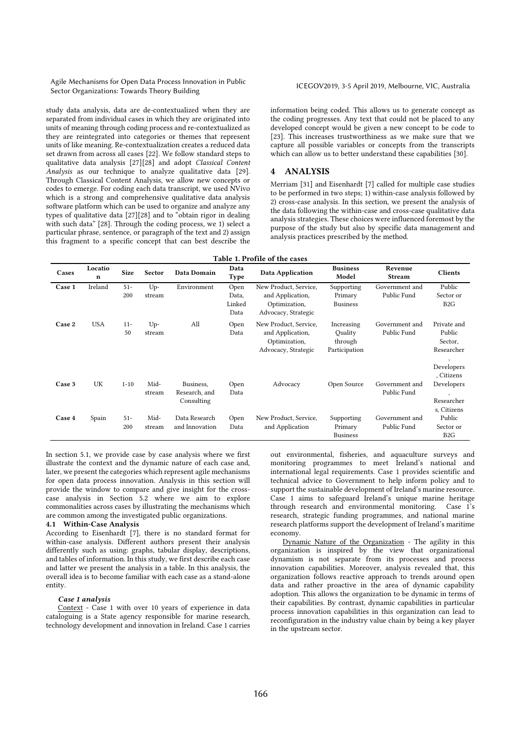Agile Mechanisms for Open Data Process Innovation in Public Agne Mechanisms for Open Data Frocess inflovation in Fubric<br>Sector Organizations: Towards Theory Building Interventional ICEGOV2019, 3-5 April 2019, Melbourne, VIC, Australia

study data analysis, data are de-contextualized when they are separated from individual cases in which they are originated into units of meaning through coding process and re-contextualized as they are reintegrated into categories or themes that represent units of like meaning. Re-contextualization creates a reduced data set drawn from across all cases [22]. We follow standard steps to qualitative data analysis [27][28] and adopt *Classical Content Analysis* as our technique to analyze qualitative data [29]. Through Classical Content Analysis, we allow new concepts or codes to emerge. For coding each data transcript, we used NVivo which is a strong and comprehensive qualitative data analysis software platform which can be used to organize and analyze any types of qualitative data [27][28] and to "obtain rigor in dealing with such data" [28]. Through the coding process, we 1) select a particular phrase, sentence, or paragraph of the text and 2) assign this fragment to a specific concept that can best describe the

information being coded. This allows us to generate concept as the coding progresses. Any text that could not be placed to any developed concept would be given a new concept to be code to [23]. This increases trustworthiness as we make sure that we capture all possible variables or concepts from the transcripts which can allow us to better understand these capabilities [30].

# 4 ANALYSIS

Merriam [31] and Eisenhardt [7] called for multiple case studies to be performed in two steps; 1) within-case analysis followed by 2) cross-case analysis. In this section, we present the analysis of the data following the within-case and cross-case qualitative data analysis strategies. These choices were influenced foremost by the purpose of the study but also by specific data management and analysis practices prescribed by the method.

|  |  | Table 1. Profile of the cases |  |  |  |
|--|--|-------------------------------|--|--|--|
|--|--|-------------------------------|--|--|--|

| Cases  | Locatio<br>$\mathbf n$ | <b>Size</b>   | Sector         | Data Domain                              | Data<br>Type                    | <b>Data Application</b>                                                           | <b>Business</b><br>Model                          | Revenue<br><b>Stream</b>      | <b>Clients</b>                                                             |
|--------|------------------------|---------------|----------------|------------------------------------------|---------------------------------|-----------------------------------------------------------------------------------|---------------------------------------------------|-------------------------------|----------------------------------------------------------------------------|
| Case 1 | Ireland                | $51 -$<br>200 | Up-<br>stream  | Environment                              | Open<br>Data,<br>Linked<br>Data | New Product, Service,<br>and Application,<br>Optimization,<br>Advocacy, Strategic | Supporting<br>Primary<br><b>Business</b>          | Government and<br>Public Fund | Public<br>Sector or<br>B2G                                                 |
| Case 2 | <b>USA</b>             | $11 -$<br>50  | Up-<br>stream  | All                                      | Open<br>Data                    | New Product, Service,<br>and Application,<br>Optimization,<br>Advocacy, Strategic | Increasing<br>Ouality<br>through<br>Participation | Government and<br>Public Fund | Private and<br>Public<br>Sector,<br>Researcher<br>Developers<br>, Citizens |
| Case 3 | UK                     | $1 - 10$      | Mid-<br>stream | Business,<br>Research, and<br>Consulting | Open<br>Data                    | Advocacy                                                                          | Open Source                                       | Government and<br>Public Fund | Developers<br>Researcher<br>s, Citizens                                    |
| Case 4 | Spain                  | $51 -$<br>200 | Mid-<br>stream | Data Research<br>and Innovation          | Open<br>Data                    | New Product, Service,<br>and Application                                          | Supporting<br>Primary<br><b>Business</b>          | Government and<br>Public Fund | Public<br>Sector or<br>B2G                                                 |

In section 5.1, we provide case by case analysis where we first illustrate the context and the dynamic nature of each case and, later, we present the categories which represent agile mechanisms for open data process innovation. Analysis in this section will provide the window to compare and give insight for the crosscase analysis in Section 5.2 where we aim to explore commonalities across cases by illustrating the mechanisms which are common among the investigated public organizations.

#### 4.1 Within-Case Analysis

According to Eisenhardt [7], there is no standard format for within-case analysis. Different authors present their analysis differently such as using: graphs, tabular display, descriptions, and tables of information. In this study, we first describe each case and latter we present the analysis in a table. In this analysis, the overall idea is to become familiar with each case as a stand-alone entity.

#### *Case 1 analysis*

Context - Case 1 with over 10 years of experience in data cataloguing is a State agency responsible for marine research, technology development and innovation in Ireland. Case 1 carries out environmental, fisheries, and aquaculture surveys and monitoring programmes to meet Ireland's national and international legal requirements. Case 1 provides scientific and technical advice to Government to help inform policy and to support the sustainable development of Ireland's marine resource. Case 1 aims to safeguard Ireland's unique marine heritage through research and environmental monitoring. Case 1's research, strategic funding programmes, and national marine research platforms support the development of Ireland's maritime economy.

Dynamic Nature of the Organization - The agility in this organization is inspired by the view that organizational dynamism is not separate from its processes and process innovation capabilities. Moreover, analysis revealed that, this organization follows reactive approach to trends around open data and rather proactive in the area of dynamic capability adoption. This allows the organization to be dynamic in terms of their capabilities. By contrast, dynamic capabilities in particular process innovation capabilities in this organization can lead to reconfiguration in the industry value chain by being a key player in the upstream sector.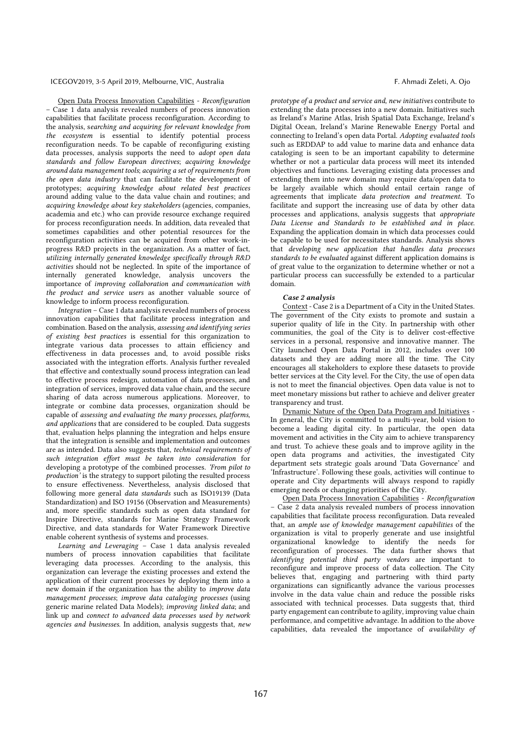Open Data Process Innovation Capabilities - *Reconfiguration* – Case 1 data analysis revealed numbers of process innovation capabilities that facilitate process reconfiguration. According to the analysis, s*earching and acquiring for relevant knowledge from the ecosystem* is essential to identify potential process reconfiguration needs. To be capable of reconfiguring existing data processes, analysis supports the need to *adopt open data standards and follow European directives*; *acquiring knowledge around data management tools*; *acquiring a set of requirements from the open data industry* that can facilitate the development of prototypes; *acquiring knowledge about related best practices* around adding value to the data value chain and routines; and *acquiring knowledge about key stakeholders* (agencies, companies, academia and etc.) who can provide resource exchange required for process reconfiguration needs. In addition, data revealed that sometimes capabilities and other potential resources for the reconfiguration activities can be acquired from other work-inprogress R&D projects in the organization. As a matter of fact, *utilizing internally generated knowledge specifically through R&D activities* should not be neglected. In spite of the importance of internally generated knowledge, analysis uncovers the importance of *improving collaboration and communication with the product and service users* as another valuable source of knowledge to inform process reconfiguration.

*Integration* – Case 1 data analysis revealed numbers of process innovation capabilities that facilitate process integration and combination. Based on the analysis, *assessing and identifying series of existing best practices* is essential for this organization to integrate various data processes to attain efficiency and effectiveness in data processes and, to avoid possible risks associated with the integration efforts. Analysis further revealed that effective and contextually sound process integration can lead to effective process redesign, automation of data processes, and integration of services, improved data value chain, and the secure sharing of data across numerous applications. Moreover, to integrate or combine data processes, organization should be capable of *assessing and evaluating the many processes, platforms, and applications* that are considered to be coupled. Data suggests that, evaluation helps planning the integration and helps ensure that the integration is sensible and implementation and outcomes are as intended. Data also suggests that, *technical requirements of such integration effort must be taken into consideration* for developing a prototype of the combined processes. *'From pilot to production'* is the strategy to support piloting the resulted process to ensure effectiveness. Nevertheless, analysis disclosed that following more general *data standards* such as ISO19139 (Data Standardization) and ISO 19156 (Observation and Measurements) and, more specific standards such as open data standard for Inspire Directive, standards for Marine Strategy Framework Directive, and data standards for Water Framework Directive enable coherent synthesis of systems and processes.

*Learning and Leveraging* – Case 1 data analysis revealed numbers of process innovation capabilities that facilitate leveraging data processes. According to the analysis, this organization can leverage the existing processes and extend the application of their current processes by deploying them into a new domain if the organization has the ability to *improve data management processes*; *improve data cataloging processes* (using generic marine related Data Models); *improving linked data*; and link up and *connect to advanced data processes used by network agencies and businesses*. In addition, analysis suggests that, *new* 

*prototype of a product and service and, new initiatives* contribute to extending the data processes into a new domain. Initiatives such as Ireland's Marine Atlas, Irish Spatial Data Exchange, Ireland's Digital Ocean, Ireland's Marine Renewable Energy Portal and connecting to Ireland's open data Portal. *Adopting evaluated tools* such as ERDDAP to add value to marine data and enhance data cataloging is seen to be an important capability to determine whether or not a particular data process will meet its intended objectives and functions. Leveraging existing data processes and extending them into new domain may require data/open data to be largely available which should entail certain range of agreements that implicate *data protection and treatment*. To facilitate and support the increasing use of data by other data processes and applications, analysis suggests that *appropriate Data License and Standards to be established and in place*. Expanding the application domain in which data processes could be capable to be used for necessitates standards. Analysis shows that *developing new application that handles data processes standards to be evaluated* against different application domains is of great value to the organization to determine whether or not a particular process can successfully be extended to a particular domain.

#### *Case 2 analysis*

Context - Case 2 is a Department of a City in the United States. The government of the City exists to promote and sustain a superior quality of life in the City. In partnership with other communities, the goal of the City is to deliver cost-effective services in a personal, responsive and innovative manner. The City launched Open Data Portal in 2012, includes over 100 datasets and they are adding more all the time. The City encourages all stakeholders to explore these datasets to provide better services at the City level. For the City, the use of open data is not to meet the financial objectives. Open data value is not to meet monetary missions but rather to achieve and deliver greater transparency and trust.

Dynamic Nature of the Open Data Program and Initiatives - In general, the City is committed to a multi-year, bold vision to become a leading digital city. In particular, the open data movement and activities in the City aim to achieve transparency and trust. To achieve these goals and to improve agility in the open data programs and activities, the investigated City department sets strategic goals around 'Data Governance' and 'Infrastructure'. Following these goals, activities will continue to operate and City departments will always respond to rapidly emerging needs or changing priorities of the City.

Open Data Process Innovation Capabilities - *Reconfiguration* – Case 2 data analysis revealed numbers of process innovation capabilities that facilitate process reconfiguration. Data revealed that, an *ample use of knowledge management capabilities* of the organization is vital to properly generate and use insightful organizational knowledge to identify the needs for reconfiguration of processes. The data further shows that *identifying potential third party vendors* are important to reconfigure and improve process of data collection. The City believes that, engaging and partnering with third party organizations can significantly advance the various processes involve in the data value chain and reduce the possible risks associated with technical processes. Data suggests that, third party engagement can contribute to agility, improving value chain performance, and competitive advantage. In addition to the above capabilities, data revealed the importance of *availability of*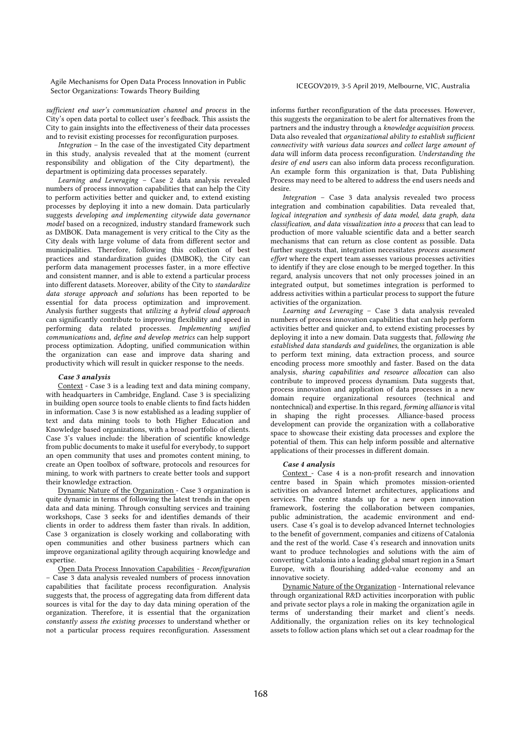Agile Mechanisms for Open Data Process Innovation in Public Agne Mechanisms for Open Data Frocess inhovation in Fubile ICEGOV2019, 3-5 April 2019, Melbourne, VIC, Australia<br>Sector Organizations: Towards Theory Building

*sufficient end user's communication channel and process* in the City's open data portal to collect user's feedback. This assists the City to gain insights into the effectiveness of their data processes and to revisit existing processes for reconfiguration purposes.

*Integration* – In the case of the investigated City department in this study, analysis revealed that at the moment (current responsibility and obligation of the City department), the department is optimizing data processes separately.

*Learning and Leveraging* – Case 2 data analysis revealed numbers of process innovation capabilities that can help the City to perform activities better and quicker and, to extend existing processes by deploying it into a new domain. Data particularly suggests *developing and implementing citywide data governance model* based on a recognized, industry standard framework such as DMBOK. Data management is very critical to the City as the City deals with large volume of data from different sector and municipalities. Therefore, following this collection of best practices and standardization guides (DMBOK), the City can perform data management processes faster, in a more effective and consistent manner, and is able to extend a particular process into different datasets. Moreover, ability of the City to *standardize data storage approach and solutions* has been reported to be essential for data process optimization and improvement. Analysis further suggests that *utilizing a hybrid cloud approach* can significantly contribute to improving flexibility and speed in performing data related processes. *Implementing unified communications* and, *define and develop metrics* can help support process optimization. Adopting, unified communication within the organization can ease and improve data sharing and productivity which will result in quicker response to the needs.

#### *Case 3 analysis*

Context - Case 3 is a leading text and data mining company, with headquarters in Cambridge, England. Case 3 is specializing in building open source tools to enable clients to find facts hidden in information. Case 3 is now established as a leading supplier of text and data mining tools to both Higher Education and Knowledge based organizations, with a broad portfolio of clients. Case 3's values include: the liberation of scientific knowledge from public documents to make it useful for everybody, to support an open community that uses and promotes content mining, to create an Open toolbox of software, protocols and resources for mining, to work with partners to create better tools and support their knowledge extraction.

Dynamic Nature of the Organization - Case 3 organization is quite dynamic in terms of following the latest trends in the open data and data mining. Through consulting services and training workshops, Case 3 seeks for and identifies demands of their clients in order to address them faster than rivals. In addition, Case 3 organization is closely working and collaborating with open communities and other business partners which can improve organizational agility through acquiring knowledge and expertise.

Open Data Process Innovation Capabilities - *Reconfiguration* – Case 3 data analysis revealed numbers of process innovation capabilities that facilitate process reconfiguration. Analysis suggests that, the process of aggregating data from different data sources is vital for the day to day data mining operation of the organization. Therefore, it is essential that the organization *constantly assess the existing processes* to understand whether or not a particular process requires reconfiguration. Assessment

informs further reconfiguration of the data processes. However, this suggests the organization to be alert for alternatives from the partners and the industry through a *knowledge acquisition process*. Data also revealed that *organizational ability to establish sufficient connectivity with various data sources and collect large amount of data* will inform data process reconfiguration. *Understanding the desire of end users* can also inform data process reconfiguration. An example form this organization is that, Data Publishing Process may need to be altered to address the end users needs and desire.

*Integration* – Case 3 data analysis revealed two process integration and combination capabilities. Data revealed that, *logical integration and synthesis of data model, data graph, data classification, and data visualization into a process* that can lead to production of more valuable scientific data and a better search mechanisms that can return as close content as possible. Data further suggests that, integration necessitates *process assessment effort* where the expert team assesses various processes activities to identify if they are close enough to be merged together. In this regard, analysis uncovers that not only processes joined in an integrated output, but sometimes integration is performed to address activities within a particular process to support the future activities of the organization.

*Learning and Leveraging* – Case 3 data analysis revealed numbers of process innovation capabilities that can help perform activities better and quicker and, to extend existing processes by deploying it into a new domain. Data suggests that, *following the established data standards and guidelines*, the organization is able to perform text mining, data extraction process, and source encoding process more smoothly and faster. Based on the data analysis, *sharing capabilities and resource allocation* can also contribute to improved process dynamism. Data suggests that, process innovation and application of data processes in a new domain require organizational resources (technical and nontechnical) and expertise. In this regard, *forming alliance* is vital in shaping the right processes. Alliance-based process development can provide the organization with a collaborative space to showcase their existing data processes and explore the potential of them. This can help inform possible and alternative applications of their processes in different domain.

#### *Case 4 analysis*

Context - Case 4 is a non-profit research and innovation centre based in Spain which promotes mission-oriented activities on advanced Internet architectures, applications and services. The centre stands up for a new open innovation framework, fostering the collaboration between companies, public administration, the academic environment and endusers. Case 4's goal is to develop advanced Internet technologies to the benefit of government, companies and citizens of Catalonia and the rest of the world. Case 4's research and innovation units want to produce technologies and solutions with the aim of converting Catalonia into a leading global smart region in a Smart Europe, with a flourishing added-value economy and an innovative society.

Dynamic Nature of the Organization - International relevance through organizational R&D activities incorporation with public and private sector plays a role in making the organization agile in terms of understanding their market and client's needs. Additionally, the organization relies on its key technological assets to follow action plans which set out a clear roadmap for the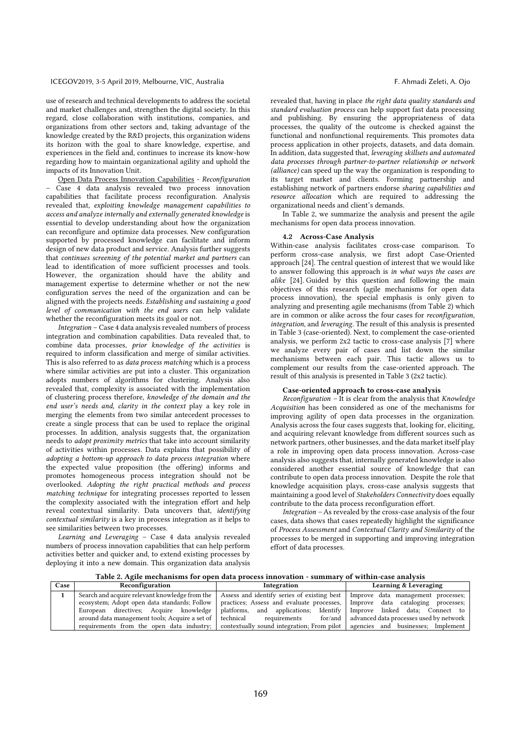use of research and technical developments to address the societal and market challenges and, strengthen the digital society. In this regard, close collaboration with institutions, companies, and organizations from other sectors and, taking advantage of the knowledge created by the R&D projects, this organization widens its horizon with the goal to share knowledge, expertise, and experiences in the field and, continues to increase its know-how regarding how to maintain organizational agility and uphold the impacts of its Innovation Unit.

Open Data Process Innovation Capabilities - *Reconfiguration* – Case 4 data analysis revealed two process innovation capabilities that facilitate process reconfiguration. Analysis revealed that, *exploiting knowledge management capabilities to access and analyze internally and externally generated knowledge* is essential to develop understanding about how the organization can reconfigure and optimize data processes. New configuration supported by processed knowledge can facilitate and inform design of new data product and service. Analysis further suggests that *continues screening of the potential market and partners* can lead to identification of more sufficient processes and tools. However, the organization should have the ability and management expertise to determine whether or not the new configuration serves the need of the organization and can be aligned with the projects needs. *Establishing and sustaining a good level of communication with the end users* can help validate whether the reconfiguration meets its goal or not.

*Integration* – Case 4 data analysis revealed numbers of process integration and combination capabilities. Data revealed that, to combine data processes, *prior knowledge of the activities* is required to inform classification and merge of similar activities. This is also referred to as *data process matching* which is a process where similar activities are put into a cluster. This organization adopts numbers of algorithms for clustering. Analysis also revealed that, complexity is associated with the implementation of clustering process therefore, *knowledge of the domain and the end user's needs and, clarity in the context* play a key role in merging the elements from two similar antecedent processes to create a single process that can be used to replace the original processes. In addition, analysis suggests that, the organization needs to *adopt proximity metrics* that take into account similarity of activities within processes. Data explains that possibility of *adopting a bottom-up approach to data process integration* where the expected value proposition (the offering) informs and promotes homogeneous process integration should not be overlooked. *Adopting the right practical methods and process matching technique* for integrating processes reported to lessen the complexity associated with the integration effort and help reveal contextual similarity. Data uncovers that, *identifying contextual similarity* is a key in process integration as it helps to see similarities between two processes.

*Learning and Leveraging* – Case 4 data analysis revealed numbers of process innovation capabilities that can help perform activities better and quicker and, to extend existing processes by deploying it into a new domain. This organization data analysis

revealed that, having in place *the right data quality standards and standard evaluation process* can help support fast data processing and publishing. By ensuring the appropriateness of data processes, the quality of the outcome is checked against the functional and nonfunctional requirements. This promotes data process application in other projects, datasets, and data domain. In addition, data suggested that, *leveraging skillsets and automated data processes through partner-to-partner relationship or network (alliance)* can speed up the way the organization is responding to its target market and clients. Forming partnership and establishing network of partners endorse *sharing capabilities and resource allocation* which are required to addressing the organizational needs and client's demands.

In Table 2, we summarize the analysis and present the agile mechanisms for open data process innovation.

## 4.2 Across-Case Analysis

Within-case analysis facilitates cross-case comparison. To perform cross-case analysis, we first adopt Case-Oriented approach [24]. The central question of interest that we would like to answer following this approach is *in what ways the cases are alike* [24]. Guided by this question and following the main objectives of this research (agile mechanisms for open data process innovation), the special emphasis is only given to analyzing and presenting agile mechanisms (from Table 2) which are in common or alike across the four cases for *reconfiguration*, *integration*, and *leveraging*. The result of this analysis is presented in Table 3 (case-oriented). Next, to complement the case-oriented analysis, we perform 2x2 tactic to cross-case analysis [7] where we analyze every pair of cases and list down the similar mechanisms between each pair. This tactic allows us to complement our results from the case-oriented approach. The result of this analysis is presented in Table 3 (2x2 tactic).

## Case-oriented approach to cross-case analysis

*Reconfiguration –* It is clear from the analysis that *Knowledge Acquisition* has been considered as one of the mechanisms for improving agility of open data processes in the organization. Analysis across the four cases suggests that, looking for, eliciting, and acquiring relevant knowledge from different sources such as network partners, other businesses, and the data market itself play a role in improving open data process innovation. Across-case analysis also suggests that, internally generated knowledge is also considered another essential source of knowledge that can contribute to open data process innovation. Despite the role that knowledge acquisition plays, cross-case analysis suggests that maintaining a good level of *Stakeholders Connectivity* does equally contribute to the data process reconfiguration effort.

*Integration –* As revealed by the cross-case analysis of the four cases, data shows that cases repeatedly highlight the significance of *Process Assessment* and *Contextual Clarity and Similarity* of the processes to be merged in supporting and improving integration effort of data processes.

Table 2. Agile mechanisms for open data process innovation - summary of within-case analysis

| Case | Reconfiguration                                | Integration                                 | Learning & Leveraging                       |  |
|------|------------------------------------------------|---------------------------------------------|---------------------------------------------|--|
|      | Search and acquire relevant knowledge from the | Assess and identify series of existing best | Improve data management<br>processes;       |  |
|      | ecosystem; Adopt open data standards; Follow   | practices; Assess and evaluate processes,   | Improve<br>data cataloging<br>processes;    |  |
|      | Acquire knowledge<br>directives;<br>European   | Identify<br>platforms,<br>and applications: | Improve linked data: Connect to             |  |
|      | around data management tools; Acquire a set of | technical<br>for/and<br>requirements        | advanced data processes used by network     |  |
|      | requirements from the open data industry;      | contextually sound integration; From pilot  | Implement<br>and<br>businesses:<br>agencies |  |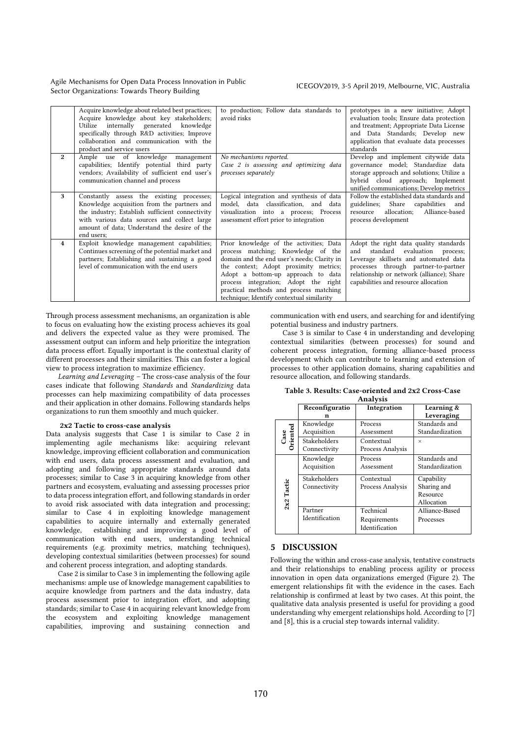Agile Mechanisms for Open Data Process Innovation in Public Agne Mechanisms for Open Data Frocess inflovation in Fubric<br>Sector Organizations: Towards Theory Building Interventional ICEGOV2019, 3-5 April 2019, Melbourne, VIC, Australia

|                         | Acquire knowledge about related best practices;<br>Acquire knowledge about key stakeholders;<br>Utilize<br>internally generated knowledge<br>specifically through R&D activities; Improve<br>collaboration and communication with the<br>product and service users | to production; Follow data standards to<br>avoid risks                                                                                                                                                                                                                                                                                     | prototypes in a new initiative; Adopt<br>evaluation tools; Ensure data protection<br>and treatment; Appropriate Data License<br>and Data Standards; Develop new<br>application that evaluate data processes<br>standards                            |
|-------------------------|--------------------------------------------------------------------------------------------------------------------------------------------------------------------------------------------------------------------------------------------------------------------|--------------------------------------------------------------------------------------------------------------------------------------------------------------------------------------------------------------------------------------------------------------------------------------------------------------------------------------------|-----------------------------------------------------------------------------------------------------------------------------------------------------------------------------------------------------------------------------------------------------|
| $\mathbf{2}$            | Ample use of knowledge management<br>capabilities; Identify potential third party<br>vendors; Availability of sufficient end user's<br>communication channel and process                                                                                           | No mechanisms reported.<br>Case 2 is assessing and optimizing data<br>processes separated                                                                                                                                                                                                                                                  | Develop and implement citywide data<br>governance model; Standardize data<br>storage approach and solutions; Utilize a<br>hybrid cloud approach; Implement<br>unified communications; Develop metrics                                               |
| 3                       | Constantly assess the existing processes;<br>Knowledge acquisition from the partners and<br>the industry; Establish sufficient connectivity<br>with various data sources and collect large<br>amount of data; Understand the desire of the<br>end users:           | Logical integration and synthesis of data<br>model, data classification, and data<br>visualization into a process; Process<br>assessment effort prior to integration                                                                                                                                                                       | Follow the established data standards and<br>guidelines; Share capabilities and<br>allocation;<br>Alliance-based<br>resource<br>process development                                                                                                 |
| $\overline{\mathbf{4}}$ | Exploit knowledge management capabilities;<br>Continues screening of the potential market and<br>partners; Establishing and sustaining a good<br>level of communication with the end users                                                                         | Prior knowledge of the activities; Data<br>process matching; Knowledge of the<br>domain and the end user's needs; Clarity in<br>the context; Adopt proximity metrics;<br>Adopt a bottom-up approach to data<br>process integration; Adopt the right<br>practical methods and process matching<br>technique; Identify contextual similarity | Adopt the right data quality standards<br>standard evaluation process;<br>and<br>Leverage skillsets and automated data<br>processes through partner-to-partner<br>relationship or network (alliance); Share<br>capabilities and resource allocation |

Through process assessment mechanisms, an organization is able to focus on evaluating how the existing process achieves its goal and delivers the expected value as they were promised. The assessment output can inform and help prioritize the integration data process effort. Equally important is the contextual clarity of different processes and their similarities. This can foster a logical view to process integration to maximize efficiency.

*Learning and Leveraging –* The cross-case analysis of the four cases indicate that following *Standards* and *Standardizing* data processes can help maximizing compatibility of data processes and their application in other domains. Following standards helps organizations to run them smoothly and much quicker.

#### 2x2 Tactic to cross-case analysis

Data analysis suggests that Case 1 is similar to Case 2 in implementing agile mechanisms like: acquiring relevant knowledge, improving efficient collaboration and communication with end users, data process assessment and evaluation, and adopting and following appropriate standards around data processes; similar to Case 3 in acquiring knowledge from other partners and ecosystem, evaluating and assessing processes prior to data process integration effort, and following standards in order to avoid risk associated with data integration and processing; similar to Case 4 in exploiting knowledge management capabilities to acquire internally and externally generated knowledge, establishing and improving a good level of communication with end users, understanding technical requirements (e.g. proximity metrics, matching techniques), developing contextual similarities (between processes) for sound and coherent process integration, and adopting standards.

Case 2 is similar to Case 3 in implementing the following agile mechanisms: ample use of knowledge management capabilities to acquire knowledge from partners and the data industry, data process assessment prior to integration effort, and adopting standards; similar to Case 4 in acquiring relevant knowledge from the ecosystem and exploiting knowledge management capabilities, improving and sustaining connection and communication with end users, and searching for and identifying potential business and industry partners.

Case 3 is similar to Case 4 in understanding and developing contextual similarities (between processes) for sound and coherent process integration, forming alliance-based process development which can contribute to learning and extension of processes to other application domains, sharing capabilities and resource allocation, and following standards.

| Anaivsis         |                              |                                             |                                                     |  |  |
|------------------|------------------------------|---------------------------------------------|-----------------------------------------------------|--|--|
|                  | Reconfiguratio<br>n          | Integration                                 | Learning &<br>Leveraging                            |  |  |
| Case<br>Oriented | Knowledge<br>Acquisition     | Process<br>Assessment                       | Standards and<br>Standardization                    |  |  |
|                  | Stakeholders<br>Connectivity | Contextual<br>Process Analysis              | $\times$                                            |  |  |
| 2x2 Tactic       | Knowledge<br>Acquisition     | Process<br>Assessment                       | Standards and<br>Standardization                    |  |  |
|                  | Stakeholders<br>Connectivity | Contextual<br>Process Analysis              | Capability<br>Sharing and<br>Resource<br>Allocation |  |  |
|                  | Partner<br>Identification    | Technical<br>Requirements<br>Identification | Alliance-Based<br>Processes                         |  |  |

Table 3. Results: Case-oriented and 2x2 Cross-Case Analysis

# 5 DISCUSSION

Following the within and cross-case analysis, tentative constructs and their relationships to enabling process agility or process innovation in open data organizations emerged (Figure 2). The emergent relationships fit with the evidence in the cases. Each relationship is confirmed at least by two cases. At this point, the qualitative data analysis presented is useful for providing a good understanding why emergent relationships hold. According to [7] and [8], this is a crucial step towards internal validity.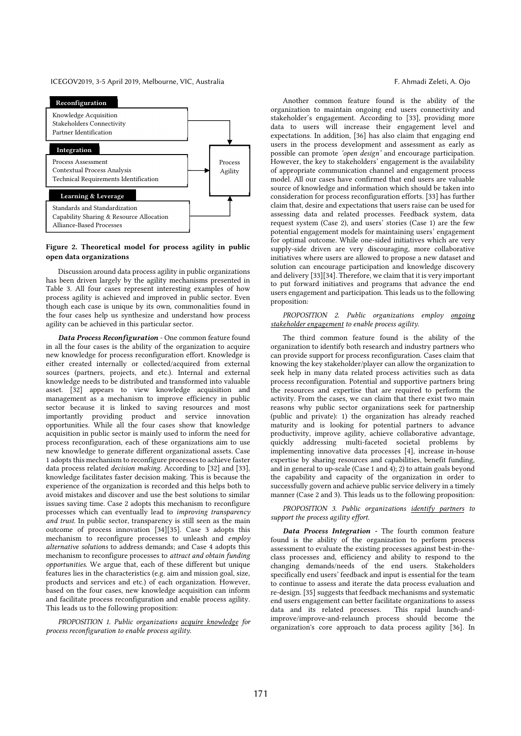

## Figure 2. Theoretical model for process agility in public open data organizations

Discussion around data process agility in public organizations has been driven largely by the agility mechanisms presented in Table 3. All four cases represent interesting examples of how process agility is achieved and improved in public sector. Even though each case is unique by its own, commonalities found in the four cases help us synthesize and understand how process agility can be achieved in this particular sector.

*Data Process Reconfiguration* - One common feature found in all the four cases is the ability of the organization to acquire new knowledge for process reconfiguration effort. Knowledge is either created internally or collected/acquired from external sources (partners, projects, and etc.). Internal and external knowledge needs to be distributed and transformed into valuable asset. [32] appears to view knowledge acquisition and management as a mechanism to improve efficiency in public sector because it is linked to saving resources and most importantly providing product and service innovation opportunities. While all the four cases show that knowledge acquisition in public sector is mainly used to inform the need for process reconfiguration, each of these organizations aim to use new knowledge to generate different organizational assets. Case 1 adopts this mechanism to reconfigure processes to achieve faster data process related *decision making*. According to [32] and [33], knowledge facilitates faster decision making. This is because the experience of the organization is recorded and this helps both to avoid mistakes and discover and use the best solutions to similar issues saving time. Case 2 adopts this mechanism to reconfigure processes which can eventually lead to *improving transparency and trust*. In public sector, transparency is still seen as the main outcome of process innovation [34][35]. Case 3 adopts this mechanism to reconfigure processes to unleash and *employ alternative solutions* to address demands; and Case 4 adopts this mechanism to reconfigure processes to *attract and obtain funding opportunities*. We argue that, each of these different but unique features lies in the characteristics (e.g. aim and mission goal, size, products and services and etc.) of each organization. However, based on the four cases, new knowledge acquisition can inform and facilitate process reconfiguration and enable process agility. This leads us to the following proposition:

*PROPOSITION 1. Public organizations acquire knowledge for process reconfiguration to enable process agility.* 

Another common feature found is the ability of the organization to maintain ongoing end users connectivity and stakeholder's engagement. According to [33], providing more data to users will increase their engagement level and expectations. In addition, [36] has also claim that engaging end users in the process development and assessment as early as possible can promote *'open design'* and encourage participation. However, the key to stakeholders' engagement is the availability of appropriate communication channel and engagement process model. All our cases have confirmed that end users are valuable source of knowledge and information which should be taken into consideration for process reconfiguration efforts. [33] has further claim that, desire and expectations that users raise can be used for assessing data and related processes. Feedback system, data request system (Case 2), and users' stories (Case 1) are the few potential engagement models for maintaining users' engagement for optimal outcome. While one-sided initiatives which are very supply-side driven are very discouraging, more collaborative initiatives where users are allowed to propose a new dataset and solution can encourage participation and knowledge discovery and delivery [33][34]. Therefore, we claim that it is very important to put forward initiatives and programs that advance the end users engagement and participation. This leads us to the following proposition:

#### *PROPOSITION 2. Public organizations employ ongoing stakeholder engagement to enable process agility.*

The third common feature found is the ability of the organization to identify both research and industry partners who can provide support for process reconfiguration. Cases claim that knowing the key stakeholder/player can allow the organization to seek help in many data related process activities such as data process reconfiguration. Potential and supportive partners bring the resources and expertise that are required to perform the activity. From the cases, we can claim that there exist two main reasons why public sector organizations seek for partnership (public and private): 1) the organization has already reached maturity and is looking for potential partners to advance productivity, improve agility, achieve collaborative advantage, quickly addressing multi-faceted societal problems by implementing innovative data processes [4], increase in-house expertise by sharing resources and capabilities, benefit funding, and in general to up-scale (Case 1 and  $\overline{4}$ ); 2) to attain goals beyond the capability and capacity of the organization in order to successfully govern and achieve public service delivery in a timely manner (Case 2 and 3). This leads us to the following proposition:

*PROPOSITION 3. Public organizations identify partners to support the process agility effort.* 

*Data Process Integration -* The fourth common feature found is the ability of the organization to perform process assessment to evaluate the existing processes against best-in-theclass processes and, efficiency and ability to respond to the changing demands/needs of the end users. Stakeholders specifically end users' feedback and input is essential for the team to continue to assess and iterate the data process evaluation and re-design. [35] suggests that feedback mechanisms and systematic end users engagement can better facilitate organizations to assess data and its related processes. improve/improve-and-relaunch process should become the organization's core approach to data process agility [36]. In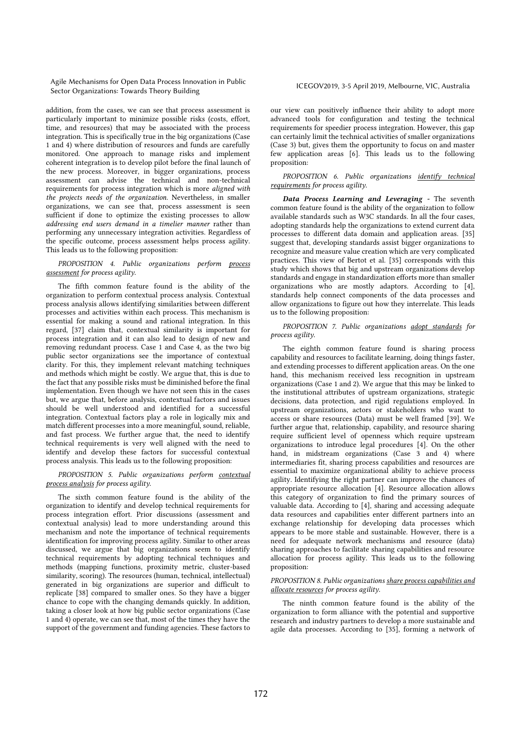Agile Mechanisms for Open Data Process Innovation in Public Agne Mechanisms for Open Data Frocess inhovation in Fubile ICEGOV2019, 3-5 April 2019, Melbourne, VIC, Australia<br>Sector Organizations: Towards Theory Building

addition, from the cases, we can see that process assessment is particularly important to minimize possible risks (costs, effort, time, and resources) that may be associated with the process integration. This is specifically true in the big organizations (Case 1 and 4) where distribution of resources and funds are carefully monitored. One approach to manage risks and implement coherent integration is to develop pilot before the final launch of the new process. Moreover, in bigger organizations, process assessment can advise the technical and non-technical requirements for process integration which is more *aligned with the projects needs of the organization*. Nevertheless, in smaller organizations, we can see that, process assessment is seen sufficient if done to optimize the existing processes to allow *addressing end users demand in a timelier manner* rather than performing any unnecessary integration activities. Regardless of the specific outcome, process assessment helps process agility. This leads us to the following proposition:

## *PROPOSITION 4. Public organizations perform process assessment for process agility.*

The fifth common feature found is the ability of the organization to perform contextual process analysis. Contextual process analysis allows identifying similarities between different processes and activities within each process. This mechanism is essential for making a sound and rational integration. In this regard, [37] claim that, contextual similarity is important for process integration and it can also lead to design of new and removing redundant process. Case 1 and Case 4, as the two big public sector organizations see the importance of contextual clarity. For this, they implement relevant matching techniques and methods which might be costly. We argue that, this is due to the fact that any possible risks must be diminished before the final implementation. Even though we have not seen this in the cases but, we argue that, before analysis, contextual factors and issues should be well understood and identified for a successful integration. Contextual factors play a role in logically mix and match different processes into a more meaningful, sound, reliable, and fast process. We further argue that, the need to identify technical requirements is very well aligned with the need to identify and develop these factors for successful contextual process analysis. This leads us to the following proposition:

## *PROPOSITION 5. Public organizations perform contextual process analysis for process agility.*

The sixth common feature found is the ability of the organization to identify and develop technical requirements for process integration effort. Prior discussions (assessment and contextual analysis) lead to more understanding around this mechanism and note the importance of technical requirements identification for improving process agility. Similar to other areas discussed, we argue that big organizations seem to identify technical requirements by adopting technical techniques and methods (mapping functions, proximity metric, cluster-based similarity, scoring). The resources (human, technical, intellectual) generated in big organizations are superior and difficult to replicate [38] compared to smaller ones. So they have a bigger chance to cope with the changing demands quickly. In addition, taking a closer look at how big public sector organizations (Case 1 and 4) operate, we can see that, most of the times they have the support of the government and funding agencies. These factors to

our view can positively influence their ability to adopt more advanced tools for configuration and testing the technical requirements for speedier process integration. However, this gap can certainly limit the technical activities of smaller organizations (Case 3) but, gives them the opportunity to focus on and master few application areas [6]. This leads us to the following proposition:

## *PROPOSITION 6. Public organizations identify technical requirements for process agility.*

*Data Process Learning and Leveraging -* The seventh common feature found is the ability of the organization to follow available standards such as W3C standards. In all the four cases, adopting standards help the organizations to extend current data processes to different data domain and application areas. [35] suggest that, developing standards assist bigger organizations to recognize and measure value creation which are very complicated practices. This view of Bertot et al. [35] corresponds with this study which shows that big and upstream organizations develop standards and engage in standardization efforts more than smaller organizations who are mostly adaptors. According to [4], standards help connect components of the data processes and allow organizations to figure out how they interrelate. This leads us to the following proposition:

# *PROPOSITION 7. Public organizations adopt standards for process agility.*

The eighth common feature found is sharing process capability and resources to facilitate learning, doing things faster, and extending processes to different application areas. On the one hand, this mechanism received less recognition in upstream organizations (Case 1 and 2). We argue that this may be linked to the institutional attributes of upstream organizations, strategic decisions, data protection, and rigid regulations employed. In upstream organizations, actors or stakeholders who want to access or share resources (Data) must be well framed [39]. We further argue that, relationship, capability, and resource sharing require sufficient level of openness which require upstream organizations to introduce legal procedures [4]. On the other hand, in midstream organizations (Case 3 and 4) where intermediaries fit, sharing process capabilities and resources are essential to maximize organizational ability to achieve process agility. Identifying the right partner can improve the chances of appropriate resource allocation [4]. Resource allocation allows this category of organization to find the primary sources of valuable data. According to [4], sharing and accessing adequate data resources and capabilities enter different partners into an exchange relationship for developing data processes which appears to be more stable and sustainable. However, there is a need for adequate network mechanisms and resource (data) sharing approaches to facilitate sharing capabilities and resource allocation for process agility. This leads us to the following proposition:

#### *PROPOSITION 8. Public organizations share process capabilities and allocate resources for process agility.*

The ninth common feature found is the ability of the organization to form alliance with the potential and supportive research and industry partners to develop a more sustainable and agile data processes. According to [35], forming a network of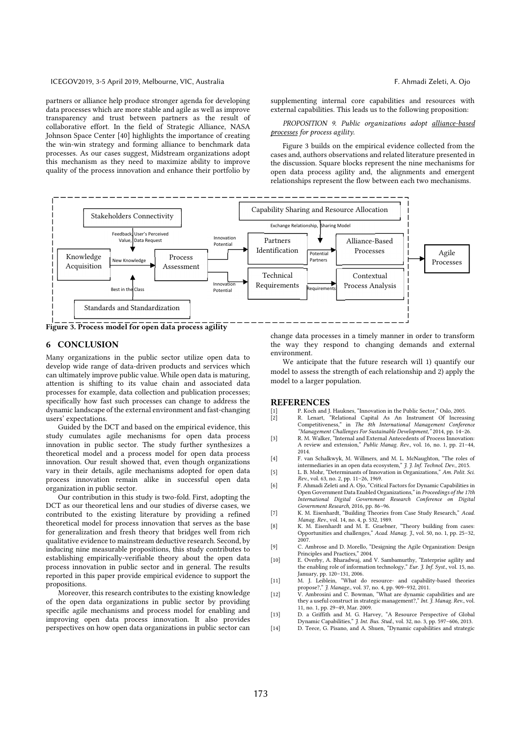partners or alliance help produce stronger agenda for developing data processes which are more stable and agile as well as improve transparency and trust between partners as the result of collaborative effort. In the field of Strategic Alliance, NASA Johnson Space Center [40] highlights the importance of creating the win-win strategy and forming alliance to benchmark data processes. As our cases suggest, Midstream organizations adopt this mechanism as they need to maximize ability to improve quality of the process innovation and enhance their portfolio by

supplementing internal core capabilities and resources with external capabilities. This leads us to the following proposition:

*PROPOSITION 9. Public organizations adopt alliance-based processes for process agility.* 

Figure 3 builds on the empirical evidence collected from the cases and, authors observations and related literature presented in the discussion. Square blocks represent the nine mechanisms for open data process agility and, the alignments and emergent relationships represent the flow between each two mechanisms.



Figure 3. Process model for open data process agility

# 6 CONCLUSION

Many organizations in the public sector utilize open data to develop wide range of data-driven products and services which can ultimately improve public value. While open data is maturing, attention is shifting to its value chain and associated data processes for example, data collection and publication processes; specifically how fast such processes can change to address the dynamic landscape of the external environment and fast-changing users' expectations.

Guided by the DCT and based on the empirical evidence, this study cumulates agile mechanisms for open data process innovation in public sector. The study further synthesizes a theoretical model and a process model for open data process innovation. Our result showed that, even though organizations vary in their details, agile mechanisms adopted for open data process innovation remain alike in successful open data organization in public sector.

Our contribution in this study is two-fold. First, adopting the DCT as our theoretical lens and our studies of diverse cases, we contributed to the existing literature by providing a refined theoretical model for process innovation that serves as the base for generalization and fresh theory that bridges well from rich qualitative evidence to mainstream deductive research. Second, by inducing nine measurable propositions, this study contributes to establishing empirically-verifiable theory about the open data process innovation in public sector and in general. The results reported in this paper provide empirical evidence to support the propositions.

Moreover, this research contributes to the existing knowledge of the open data organizations in public sector by providing specific agile mechanisms and process model for enabling and improving open data process innovation. It also provides perspectives on how open data organizations in public sector can

change data processes in a timely manner in order to transform the way they respond to changing demands and external environment.

We anticipate that the future research will 1) quantify our model to assess the strength of each relationship and 2) apply the model to a larger population.

#### REFERENCES

- [1] P. Koch and J. Hauknes, "Innovation in the Public Sector," Oslo, 2005.
- [2] R. Lenart, "Relational Capital As An Instrument Of Increasing Competitiveness," in *The 8th International Management Conference "Management Challenges For Sustainable Development,"* 2014, pp. 14–26.
- [3] R. M. Walker, "Internal and External Antecedents of Process Innovation: A review and extension," *Public Manag. Rev.*, vol. 16, no. 1, pp. 21–44, 2014.
- [4] F. van Schalkwyk, M. Willmers, and M. L. McNaughton, "The roles of
- intermediaries in an open data ecosystem," *J. J. Inf. Technol. Dev.*, 2015. [5] L. B. Mohr, "Determinants of Innovation in Organizations," *Am. Polit. Sci.*
- *Rev.*, vol. 63, no. 2, pp. 11–26, 1969. [6] F. Ahmadi Zeleti and A. Ojo, "Critical Factors for Dynamic Capabilities in Open Government Data Enabled Organizations," in *Proceedings of the 17th International Digital Government Research Conference on Digital Government Research*, 2016, pp. 86–96.
- [7] K. M. Eisenhardt, "Building Theories from Case Study Research," *Acad. Manag. Rev.*, vol. 14, no. 4, p. 532, 1989.
- [8] K. M. Eisenhardt and M. E. Graebner, "Theory building from cases: Opportunities and challenges," *Acad. Manag. J.*, vol. 50, no. 1, pp. 25–32, 2007.
- [9] C. Ambrose and D. Morello, "Designing the Agile Organization: Design Principles and Practices," 2004.
- [10] E. Overby, A. Bharadwaj, and V. Sambamurthy, "Enterprise agility and the enabling role of information technology," *Eur. J. Inf. Syst.*, vol. 15, no. January, pp. 120–131, 2006.
- [11] M. J. Leiblein, "What do resource- and capability-based theories propose?," *J. Manage.*, vol. 37, no. 4, pp. 909–932, 2011.
- [12] V. Ambrosini and C. Bowman, "What are dynamic capabilities and are they a useful construct in strategic management?," *Int. J. Manag. Rev.*, vol. 11, no. 1, pp. 29–49, Mar. 2009.
- [13] D. a Griffith and M. G. Harvey, "A Resource Perspective of Global Dynamic Capabilities," *J. Int. Bus. Stud.*, vol. 32, no. 3, pp. 597–606, 2013.
- [14] D. Teece, G. Pisano, and A. Shuen, "Dynamic capabilities and strategic